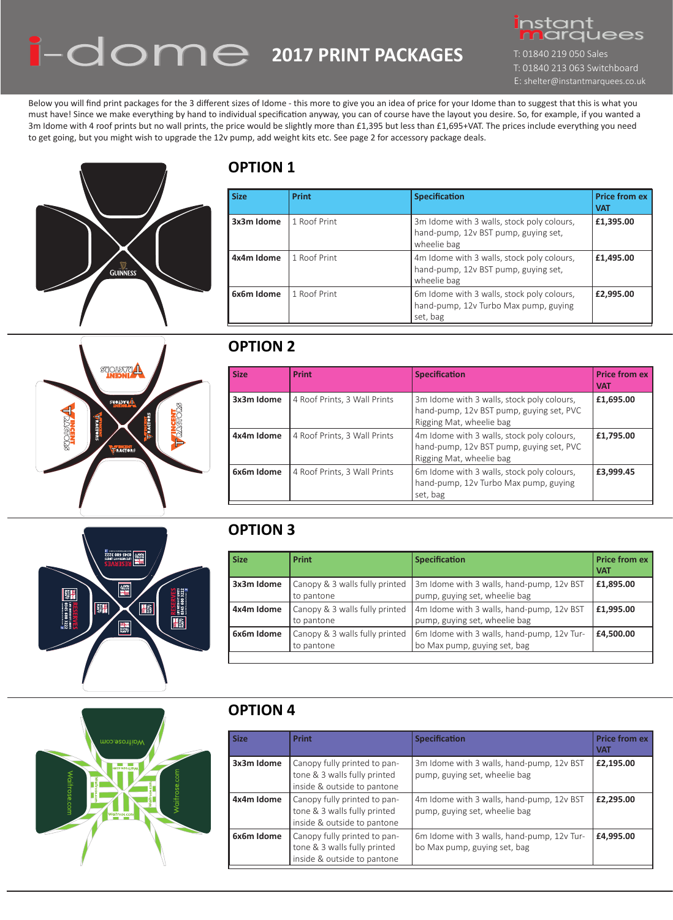# **2017 PRINT PACKAGES**



# **OPTION 1**

T: 01840 219 050 Sales T: 01840 213 063 Switchboard E: shelter@instantmarquees.co.uk

# **OPTION 2**

# **OPTION 3**

# **OPTION 4**



| Size       | <b>Print</b> | <b>Specification</b>                                                                              | <b>Price from ex</b><br><b>VAT</b> |
|------------|--------------|---------------------------------------------------------------------------------------------------|------------------------------------|
| 3x3m Idome | 1 Roof Print | 3m Idome with 3 walls, stock poly colours,<br>hand-pump, 12v BST pump, guying set,<br>wheelie bag | £1,395.00                          |
| 4x4m Idome | 1 Roof Print | 4m Idome with 3 walls, stock poly colours,<br>hand-pump, 12v BST pump, guying set,<br>wheelie bag | £1,495.00                          |
| 6x6m Idome | 1 Roof Print | 6m Idome with 3 walls, stock poly colours,<br>hand-pump, 12v Turbo Max pump, guying<br>set, bag   | £2,995.00                          |

| <b>Size</b> | <b>Print</b>                 | <b>Specification</b>                                                                                               | <b>Price from ex</b><br><b>VAT</b> |
|-------------|------------------------------|--------------------------------------------------------------------------------------------------------------------|------------------------------------|
| 3x3m Idome  | 4 Roof Prints, 3 Wall Prints | 3m Idome with 3 walls, stock poly colours,<br>hand-pump, 12v BST pump, guying set, PVC<br>Rigging Mat, wheelie bag | £1,695.00                          |
| 4x4m Idome  | 4 Roof Prints, 3 Wall Prints | 4m Idome with 3 walls, stock poly colours,<br>hand-pump, 12v BST pump, guying set, PVC<br>Rigging Mat, wheelie bag | £1,795.00                          |
| 6x6m Idome  | 4 Roof Prints, 3 Wall Prints | 6m Idome with 3 walls, stock poly colours,<br>hand-pump, 12v Turbo Max pump, guying<br>set, bag                    | £3,999.45                          |



| <b>Size</b> | <b>Print</b>                                 | <b>Specification</b>                                                       | <b>Price from ex</b><br><b>VAT</b> |
|-------------|----------------------------------------------|----------------------------------------------------------------------------|------------------------------------|
| 3x3m Idome  | Canopy & 3 walls fully printed<br>to pantone | 3m Idome with 3 walls, hand-pump, 12v BST<br>pump, guying set, wheelie bag | £1,895.00                          |
| 4x4m Idome  | Canopy & 3 walls fully printed<br>to pantone | 4m Idome with 3 walls, hand-pump, 12v BST<br>pump, guying set, wheelie bag | £1,995.00                          |
| 6x6m Idome  | Canopy & 3 walls fully printed<br>to pantone | 6m Idome with 3 walls, hand-pump, 12v Tur-<br>bo Max pump, guying set, bag | £4,500.00                          |

Below you will find print packages for the 3 different sizes of Idome - this more to give you an idea of price for your Idome than to suggest that this is what you must have! Since we make everything by hand to individual specification anyway, you can of course have the layout you desire. So, for example, if you wanted a 3m Idome with 4 roof prints but no wall prints, the price would be slightly more than £1,395 but less than £1,695+VAT. The prices include everything you need to get going, but you might wish to upgrade the 12v pump, add weight kits etc. See page 2 for accessory package deals.



# **Arygroms** SHOLDVHA **RAGTORS LAMSENT TINCENT**<br>TRACTORS

| <b>Size</b> | <b>Print</b>                                                                                | <b>Specification</b>                                                       | <b>Price from ex</b><br><b>VAT</b> |
|-------------|---------------------------------------------------------------------------------------------|----------------------------------------------------------------------------|------------------------------------|
| 3x3m Idome  | Canopy fully printed to pan-<br>tone & 3 walls fully printed<br>inside & outside to pantone | 3m Idome with 3 walls, hand-pump, 12v BST<br>pump, guying set, wheelie bag | £2,195.00                          |
| 4x4m Idome  | Canopy fully printed to pan-<br>tone & 3 walls fully printed<br>inside & outside to pantone | 4m Idome with 3 walls, hand-pump, 12v BST<br>pump, guying set, wheelie bag | £2,295.00                          |
| 6x6m Idome  | Canopy fully printed to pan-<br>tone & 3 walls fully printed<br>inside & outside to pantone | 6m Idome with 3 walls, hand-pump, 12v Tur-<br>bo Max pump, guying set, bag | £4,995.00                          |